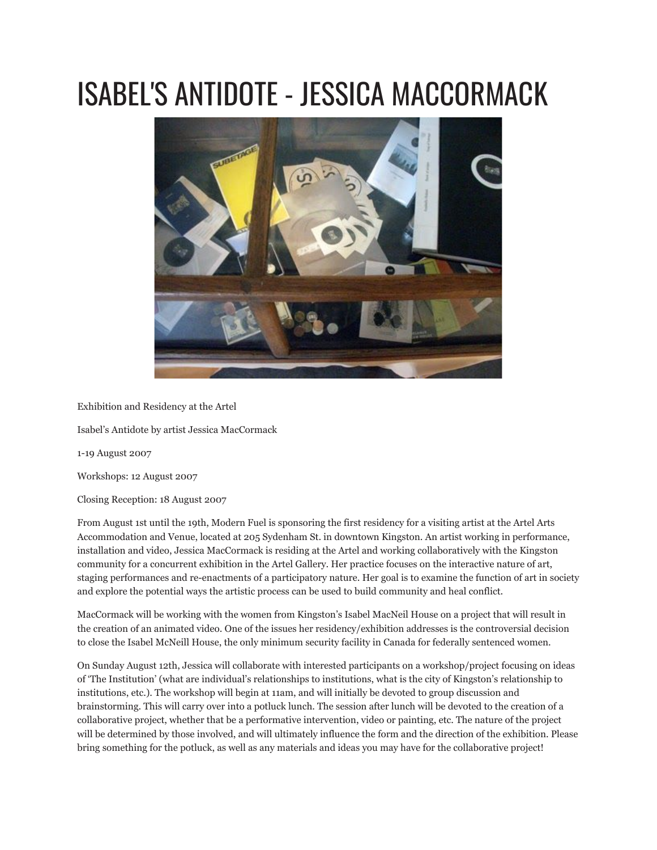## ISABEL'S ANTIDOTE - JESSICA MACCORMACK



Exhibition and Residency at the Artel

Isabel's Antidote by artist Jessica MacCormack

1-19 August 2007

Workshops: 12 August 2007

Closing Reception: 18 August 2007

From August 1st until the 19th, Modern Fuel is sponsoring the first residency for a visiting artist at the Artel Arts Accommodation and Venue, located at 205 Sydenham St. in downtown Kingston. An artist working in performance, installation and video, Jessica MacCormack is residing at the Artel and working collaboratively with the Kingston community for a concurrent exhibition in the Artel Gallery. Her practice focuses on the interactive nature of art, staging performances and re-enactments of a participatory nature. Her goal is to examine the function of art in society and explore the potential ways the artistic process can be used to build community and heal conflict.

MacCormack will be working with the women from Kingston's Isabel MacNeil House on a project that will result in the creation of an animated video. One of the issues her residency/exhibition addresses is the controversial decision to close the Isabel McNeill House, the only minimum security facility in Canada for federally sentenced women.

On Sunday August 12th, Jessica will collaborate with interested participants on a workshop/project focusing on ideas of 'The Institution' (what are individual's relationships to institutions, what is the city of Kingston's relationship to institutions, etc.). The workshop will begin at 11am, and will initially be devoted to group discussion and brainstorming. This will carry over into a potluck lunch. The session after lunch will be devoted to the creation of a collaborative project, whether that be a performative intervention, video or painting, etc. The nature of the project will be determined by those involved, and will ultimately influence the form and the direction of the exhibition. Please bring something for the potluck, as well as any materials and ideas you may have for the collaborative project!